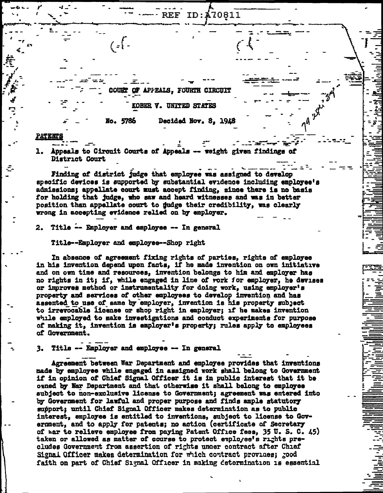ID:A70811 REF.

**COURT** APPEALS, FOURTH CIRCUIT

**KOBER V. UNITED STATES** 

Decided Nov. 8, 1948 No. 5786

## **PATENTS**

Appeals to Circuit Courts of Appeals -- weight given findings of 1. District Court

Finding of district judge that employee was assigned to develop specific devices is supported by substantial evidence including employee's admissions: appellate court must accept finding, since there is no basis for holding that judge, who saw and heard witnesses and was in better position than appellate court to judge their credibility, was clearly wrong in accepting evidence relied on by employer.

2. Title -- Employer and employee -- In general

 $' = \} -$ 

Title--Employer and employee--Shop right

In absence of agreement fixing rights of parties, rights of employee in his invention depend upon facts. if he made invention on own initiative and on own time and resources, invention belongs to him and employer has no rights in it; if, while engaged in line of rork for employer, he devises or improves method or instrumentality for doing work, using employer's property and services of other employees to develop invention and has assented to use of same by employer, invention is his property subject to irrevocable license or shop right in employer; if he makes invention while employed to make investigations and conduct experiments for purpose of making it, invention is employer's property; rules apply to employees of Government.

3. Title -- Employer and employee -- In general

Agreement between War Department and employee provides that inventions made by employee while engaged in assigned work shall belong to Government if in opinion of Chief Signal Officer it is in public interest that it be owned by War Department and that otherwise it shall belong to employee subject to non-exclusive license to Government; agreement was entered into by Government for lawful and proper purpose and finds ample statutory support: until Chief Signal Officer makes determination as to public interest, employee is entitled to inventions, subject to license to Gov-ernment, and to apply for patents; no action (certificate of Secretary of war to relieve employee from paying Patent Office fees. 35 U.S. C. 45) taken or allowed as matter of course to protect employee's rights precludes Government from assertion of rights under contract after Chief Signal Officer makes determination for which contract provides; rood faith on part of Chief Signal Officer in making determination is essential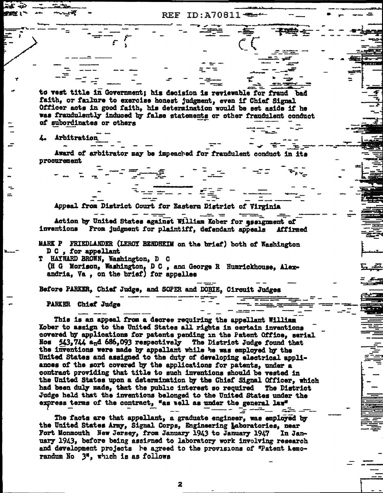**REF ID: A70811** 

 $\frac{1}{2}$ 

to vest title in Government; his decision is reviewable for fraud bad faith, or failure to exercise honest judgment, even if Chief Signal Officer acts in good faith, his determination would be set aside if he was fraudulently induced by false statements or other fraudulent conduct of subordinates or others

Arbitration

Award of arbitrator may be impeached for fraudulent conduct in its procurement

£ - 1

 $\overline{z}$   $\overline{z}$   $\overline{z}$   $\overline{z}$   $\overline{z}$   $\overline{z}$   $\overline{z}$   $\overline{z}$   $\overline{z}$   $\overline{z}$   $\overline{z}$   $\overline{z}$   $\overline{z}$   $\overline{z}$   $\overline{z}$   $\overline{z}$   $\overline{z}$   $\overline{z}$   $\overline{z}$   $\overline{z}$   $\overline{z}$   $\overline{z}$   $\overline{z}$   $\overline{z}$   $\overline{$ 

Appeal from District Court for Eastern District of Virginia

 $\begin{array}{cccccccccccccc} \multicolumn{4}{c}{} & \multicolumn{4}{c}{} & \multicolumn{4}{c}{} & \multicolumn{4}{c}{} & \multicolumn{4}{c}{} & \multicolumn{4}{c}{} & \multicolumn{4}{c}{} & \multicolumn{4}{c}{} & \multicolumn{4}{c}{} & \multicolumn{4}{c}{} & \multicolumn{4}{c}{} & \multicolumn{4}{c}{} & \multicolumn{4}{c}{} & \multicolumn{4}{c}{} & \multicolumn{4}{c}{} & \multicolumn{4}{c}{} & \multicolumn{4}{c}{} & \multicolumn{4}{c}{} & \multicolumn{4}{c}{} & \$ Action by United States against William Kober for assignment of inventions From judgment for plaintiff, defendant appeals Affirmed

MARK P FRIEDLANDER (LEROY BENDHEIM on the brief) both of Washington D C, for appellant

T HAYWARD BROWN, Washington, D C (H G Morison, Washington, D C , and George R Humrickhouse, Alexandria, Va , on the brief) for appellee

Before PARKER, Chief Judge, and SOPER and DOBIE, Circuit Judges

PARKER Chief Judge

This is an appeal from a decree requiring the appellant William Kober to assign to the United States all rights in certain inventions covered by applications for patents pending in the Patent Office, serial Nos 543,744 and 686,093 respectively The District Judge found that the inventions were made by appellant while he was employed by the United States and assigned to the duty of developing electrical appliances of the sort covered by the applications for patents, under a contract providing that title to such inventions should be vested in the United States upon a determination by the Chief Signal Officer. which had been duly made, that the public interest so required The District Judge held that the inventions belonged to the United States under the express terms of the contract, "as well as under the general law"

The facts are that appellant, a graduate engineer, was employed by the United States Army, Signal Corps, Engineering Laboratories, near Fort Monmouth New Jersey, from January 1943 to January 1947 In January 1943, before being assigned to laboratory work involving research and development projects he agreed to the provisions of "Patent Lemorandum No 3", which is as follows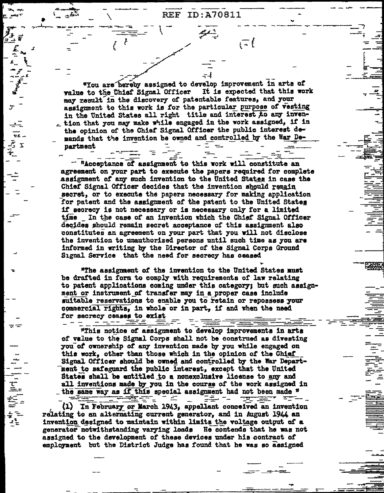$\overline{t}$ 

"You are hereby assigned to develop improvement in arts of value to the Chief Signal Officer It is expected that this work may result in the discovery of patentable features, and your assignment to this work is for the particular purpose of vesting in the United States all right title and interest to any inven-. tion that you may make while engaged in the work assigned, if in the opinion of the Chief Signal Officer the public interest demands that the invention be owned and controlled by the War Department

 $\mathbf{x}$ 

""一个小时"

"Acceptance of assignment to this work will constitute an agreement on your part to execute the papers required for complete assignment of any such invention to the United States in case the Chief Signal Officer decides that the invention should remain secret, or to execute the papers necessary for making application for patent and the assignment of the patent to the United States if secrecy is not necessary or is necessary only for a limited time In the case of an invention which the Chief Signal Officer decides should remain secret acceptance of this assignment also constitutes an agreement on your part that you will not disclose the invention to unauthorized persons until such time as you are informed in writing by the Director of the Signal Corps Ground Signal Service that the need for secrecy has ceased

"The assignment of the invention to the United States must be drafted in form to comply with requirements of law relating to patent applications coming under this category; but such assignment or instrument of transfer may in a proper case include suitable reservations to enable you to retain or repossess your commercial rights, in whole or in part, if and when the need for secrecy ceases to exist

"This notice of assignment to develop improvements in arts of value to the Signal Corps shall not be construed as divesting you of ownership of any invention made by you while engaged on this work, other than those which in the opinion of the Chief Signal Officer should be owned and controlled by the War Department to safeguard the public interest, except that the United States shall be entitled to a nonexclusive license to any and all inventions made by you in the course of the work assigned in the same way as if this special assignment had not been made  $\frac{n}{2}$ <del>indre</del> e

도<del>로~</del> ~~  $\sim$ (1) In February or March 1943, appellant conceived an invention relating to an alternating current generator, and in August 1944 an invention designed to maintain within limits the voltage output of a generator notwithstanding varying loads He contends that he was not assigned to the development of these devices under his contract of employment but the District Judge has found that he was so assigned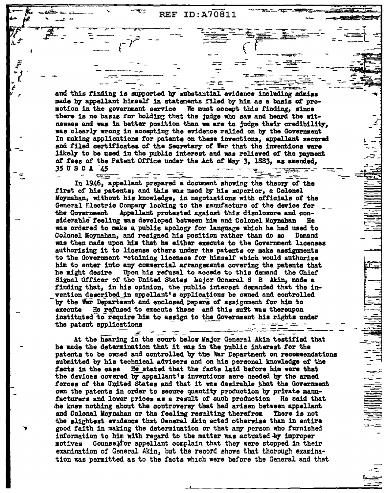ID:A70811 **REF** 

and this finding is supported by substantial evidence including admiss made by appellant himself in statements filed by him as a basis of promotion in the government service We must accept this finding, since there is no basis for holding that the judge who saw and heard the witnesses and was in better position than we are to judge their credibility, was clearly wrong in accepting the evidence relied on by the Government In making applications for patents on these inventions, appellant secured and filed certificates of the Secretary of War that the inventions were likely to be used in the public interest and was relieved of the payment of fees of the Patent Office under the Act of May 3, 1883, as amended, 35 U S C A 45 **READERS** 

 $=$   $-$ 

- 3 In 1946, appellant prepared a document showing the theory of the first of his patents; and this was used by his superior, a Colonel Moynahan, without his knowledge, in negotiations with officials of the General Electric Company looking to the manufacture of the device for Appellant protested against this disclosure and conthe Government siderable feeling was developed between him and Colonel Moynahan He was ordered to make a public apology for language which he had used to Colonel Moynahan, and resigned his position rather than do so Demand was then made upon him that he either execute to the Government licenses authorising it to license others under the patents or make assignments to the Government -etaining licenses for himself which would authorize him to enter into any commercial arrangements covering the patents that he might desire Upon his refusal to accede to this demand the Chief Signal Officer of the United States hajor General S B Akin, made a finding that, in his opinion, the public interest demanded that the invention described in appellant's applications be owned and controlled by the War Department and enclosed papers of assignment for him to execute He refused to execute these and this suft was thereupon instituted to require him to assign to the Government his rights under the patent applications

At the hearing in the court below Major General Akin testified that he made the determination that it was in the public interest for the patents to be owned and controlled by the War Department on recommendations submitted by his technical advisers and on his personal knowledge of the facts in the case He stated that the facts laid before him were that the devices covered by appellant's inventions were needed by the armed forces of the United States and that it was desirable that the Government own the patents in order to secure quantity production by private manufacturers and lower prices as a result of such production He said that the knew nothing about the controversy that had arisen between appellant and Colonel Moynahan or the feeling resulting therefrom There is not the slightest evidence that General Akin acted otherwise than in entire good faith in making the determination or that any person who furnished information to him with regard to the matter was actuated by improper Counsel for appellant complain that they were stopped in their motives examination of General Akin, but the record shows that thorough examination was permitted as to the facts which were before the General and that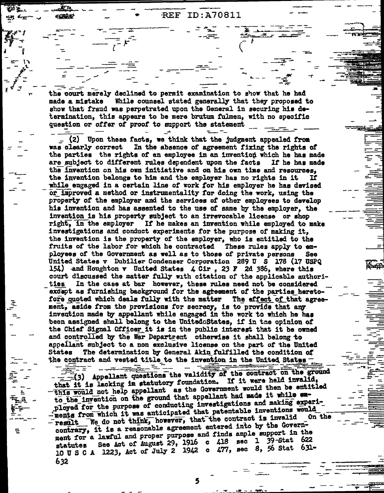ID:A70811  $REF$ 

the court merely declined to permit examination to show that he had While counsel stated generally that they proposed to made a mistake show that fraud was perpetrated upon the General in securing his determination, this appears to be mere brutum fulmen, with no specific question or offer of proof to support the statement

在在生

艺

 $\sim$  (2) Upon these facts, we think that the judgment appealed from was clearly correct In the absence of agreement fixing the rights of the parties the rights of an employee in an invention which he has made are subject to different rules dependent upon the facts If he has made the invention on his own initiative and on his own time and resources. the invention belongs to him and the employer has no rights in it  $\mathbf{H}$ while engaged in a certain line of work for his employer he has devised or improved a method or instrumentality for doing the work, using the property of the employer and the services of other employees to develop his invention and has assented to the use of same by the employer, the invention is his property subject to an irrevocable license or shop right, in the employer If he makes an invention while employed to make investigations and conduct experiments for the purpose of making it. the invention is the property of the employer, who is entitled to the These rules apply to emfruits of the labor for which he contracted ployees of the Government as well as to those of private persons **See** United States v Dubilier Condenser Corporation 289 U S 178 (17 USPQ 154) and Houghton v United States 4 Cir, 23 F 2d 386, where this court discussed the matter fully with citation of the applicable authori-In the case at bar however, these rules need not be considered ties except as furnishing background for the agreement of the parties heretofore quoted which deals fully with the matter The effect of that agreement, aside from the provisions for secrecy, is to provide that any invention made by appellant while engaged in the work to which he has been assigned shall belong to the UnitedeStates, if in the opinion of the Chief Signal Officer it is in the public interest that it be owned and controlled by the War Department otherwise it shall belong to appellant subject to a non exclusive license on the part of the United The determination by General Akin fulfilled the condition of States the contract and vested title to the invention in the United States

 $-\frac{1}{2}$  (3) Appellant questions the validity of the contract on the ground that it is lacking in statutory foundation. If it were held invalid, this would not help appellant as the Government would then be entitled to the invention on the ground that appellant had made it while exployed for the purpose of conducting investigations and making experiments from which it was anticipated that patentable inventions would result We do not think, however, that the contract is invalid **On the** contrary, it is a reasonable agreement entered into by the Government for a lawful and proper purpose and finds ample support in the See Act of August 29, 1916 c 418 sec 1 39-Stat 622 statutes 10 U S C A 1223, Act of July 2 1942 c 477, sec 8, 56 Stat 631-632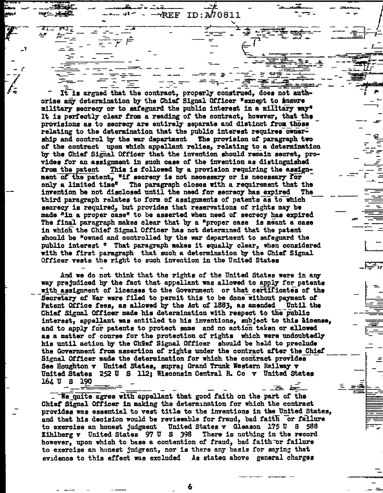ID:A70811 REF

It is argued that the contract, properly construed, does not authorize any determination by the Chief Signal Officer "except to insure military secrecy or to safeguard the public interest in a military way" It is perfectly clear from a reading of the contract, however, that the provisions as to secrecy are entirely separate and distinct from those relating to the determination that the public interest requires ownership and control by the war department The provision of paragraph two of the contract upon which appellant relies, relating to a determination by the Chief Signal Officer that the invention should remain secret, provides for an assignment in such case of the invention as distinguished from the patent This is followed by a provision requiring the assignment of the patent, "if secrecy is not necessary or is necessary for only a limited time" The paragraph closes with a requirement that the invention be not disclosed until the need for secrecy has expired The third paragraph relates to form of assignments of patents as to which secrecy is required, but provides that reservations of rights may be made "in a proper case" to be asserted when need of secrecy has expired The final paragraph makes clear that by a "proper case is meant a case in which the Chief Signal Officer has not determined that the patent should be "owned and controlled by the war department to safeguard the public interest " That paragraph makes it equally clear, when considered with the first paragraph that such a determination by the Chief Signal Officer vests the right to such invention in the United States

And we do not think that the rights of the United States were in any way prejudiced by the fact that appellant was allowed to apply for patents with assignment of licenses to the Government or that certificates of the Secretary of War were filed to permit this to be done without payment of Patent Office fees, as allowed by the Act of 1883, as amended Until the Chief Signal Officer made his determination with respect to the public interest, appellant was entitled to his inventions, subject to this hicense, and to apply for patents to protect same and no action taken or allowed as a matter of course for the protection of rights which were undoubtedly his until action by the Chief Signal Officer should be held to preclude the Government from assertion of rights under the contract after the Chief Signal Officer made the determination for which the contract provides See Houghton v United States, supra; Grand Trunk Western Railway v United States 252 U S 112; Wisconsin Central R. Co v United States  $164 \text{ U}$  S  $190$ 

We quite agree with appellant that good faith on the part of the Chief Signal Officer in making the determination for which the contract provides was essential to vest title to the inventions in the United States, and that his decision would be reviewable for fraud, bad faith or failure to exercise an honest judgment United States v Gleason 175 U S 588 Kihlberg v United States 97 U S 398 There is nothing in the record however, upon which to base a contention of fraud, bad faith or failure to exercise an honest judgment, nor is there any basis for saying that evidence to this effect was excluded As stated above general charges